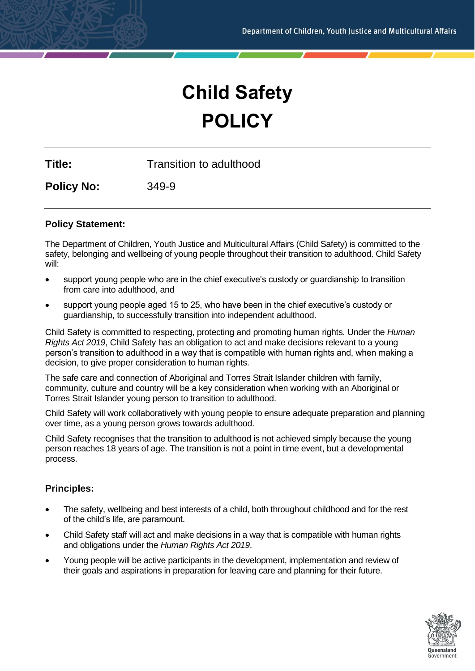# **Child Safety POLICY**

**Title:** Transition to adulthood

**Policy No:** 349-9

# **Policy Statement:**

The Department of Children, Youth Justice and Multicultural Affairs (Child Safety) is committed to the safety, belonging and wellbeing of young people throughout their transition to adulthood. Child Safety will:

- support young people who are in the chief executive's custody or guardianship to transition from care into adulthood, and
- support young people aged 15 to 25, who have been in the chief executive's custody or guardianship, to successfully transition into independent adulthood.

Child Safety is committed to respecting, protecting and promoting human rights. Under the *Human Rights Act 2019*, Child Safety has an obligation to act and make decisions relevant to a young person's transition to adulthood in a way that is compatible with human rights and, when making a decision, to give proper consideration to human rights.

The safe care and connection of Aboriginal and Torres Strait Islander children with family, community, culture and country will be a key consideration when working with an Aboriginal or Torres Strait Islander young person to transition to adulthood.

Child Safety will work collaboratively with young people to ensure adequate preparation and planning over time, as a young person grows towards adulthood.

Child Safety recognises that the transition to adulthood is not achieved simply because the young person reaches 18 years of age. The transition is not a point in time event, but a developmental process.

# **Principles:**

- The safety, wellbeing and best interests of a child, both throughout childhood and for the rest of the child's life, are paramount.
- Child Safety staff will act and make decisions in a way that is compatible with human rights and obligations under the *Human Rights Act 2019*.
- Young people will be active participants in the development, implementation and review of their goals and aspirations in preparation for leaving care and planning for their future.

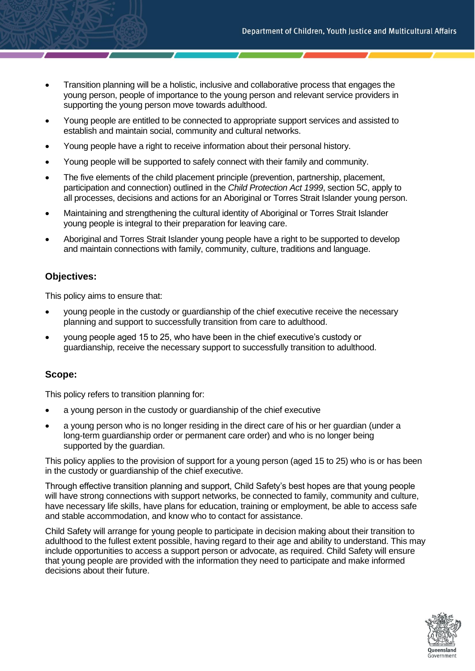- Transition planning will be a holistic, inclusive and collaborative process that engages the young person, people of importance to the young person and relevant service providers in supporting the young person move towards adulthood.
- Young people are entitled to be connected to appropriate support services and assisted to establish and maintain social, community and cultural networks.
- Young people have a right to receive information about their personal history.
- Young people will be supported to safely connect with their family and community.
- The five elements of the child placement principle (prevention, partnership, placement, participation and connection) outlined in the *Child Protection Act 1999*, section 5C, apply to all processes, decisions and actions for an Aboriginal or Torres Strait Islander young person.
- Maintaining and strengthening the cultural identity of Aboriginal or Torres Strait Islander young people is integral to their preparation for leaving care.
- Aboriginal and Torres Strait Islander young people have a right to be supported to develop and maintain connections with family, community, culture, traditions and language.

# **Objectives:**

This policy aims to ensure that:

- young people in the custody or guardianship of the chief executive receive the necessary planning and support to successfully transition from care to adulthood.
- young people aged 15 to 25, who have been in the chief executive's custody or guardianship, receive the necessary support to successfully transition to adulthood.

## **Scope:**

This policy refers to transition planning for:

- a young person in the custody or guardianship of the chief executive
- a young person who is no longer residing in the direct care of his or her guardian (under a long-term guardianship order or permanent care order) and who is no longer being supported by the quardian.

This policy applies to the provision of support for a young person (aged 15 to 25) who is or has been in the custody or guardianship of the chief executive.

Through effective transition planning and support, Child Safety's best hopes are that young people will have strong connections with support networks, be connected to family, community and culture, have necessary life skills, have plans for education, training or employment, be able to access safe and stable accommodation, and know who to contact for assistance.

Child Safety will arrange for young people to participate in decision making about their transition to adulthood to the fullest extent possible, having regard to their age and ability to understand. This may include opportunities to access a support person or advocate, as required. Child Safety will ensure that young people are provided with the information they need to participate and make informed decisions about their future.

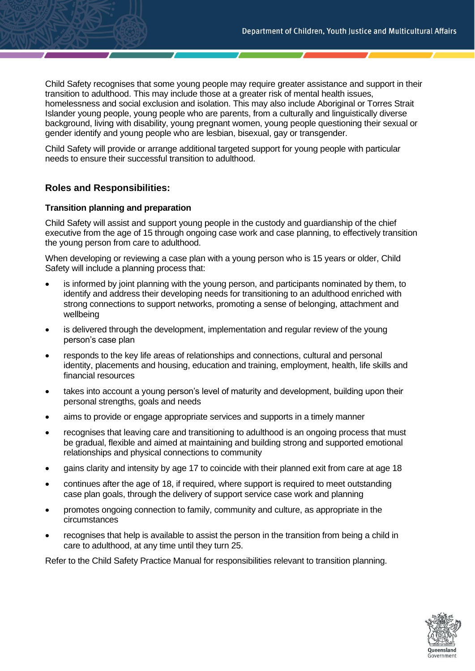Child Safety recognises that some young people may require greater assistance and support in their transition to adulthood. This may include those at a greater risk of mental health issues, homelessness and social exclusion and isolation. This may also include Aboriginal or Torres Strait Islander young people, young people who are parents, from a culturally and linguistically diverse background, living with disability, young pregnant women, young people questioning their sexual or gender identify and young people who are lesbian, bisexual, gay or transgender.

Child Safety will provide or arrange additional targeted support for young people with particular needs to ensure their successful transition to adulthood.

# **Roles and Responsibilities:**

## **Transition planning and preparation**

Child Safety will assist and support young people in the custody and guardianship of the chief executive from the age of 15 through ongoing case work and case planning, to effectively transition the young person from care to adulthood.

When developing or reviewing a case plan with a young person who is 15 years or older, Child Safety will include a planning process that:

- is informed by joint planning with the young person, and participants nominated by them, to identify and address their developing needs for transitioning to an adulthood enriched with strong connections to support networks, promoting a sense of belonging, attachment and wellbeing
- is delivered through the development, implementation and regular review of the young person's case plan
- responds to the key life areas of relationships and connections, cultural and personal identity, placements and housing, education and training, employment, health, life skills and financial resources
- takes into account a young person's level of maturity and development, building upon their personal strengths, goals and needs
- aims to provide or engage appropriate services and supports in a timely manner
- recognises that leaving care and transitioning to adulthood is an ongoing process that must be gradual, flexible and aimed at maintaining and building strong and supported emotional relationships and physical connections to community
- gains clarity and intensity by age 17 to coincide with their planned exit from care at age 18
- continues after the age of 18, if required, where support is required to meet outstanding case plan goals, through the delivery of support service case work and planning
- promotes ongoing connection to family, community and culture, as appropriate in the circumstances
- recognises that help is available to assist the person in the transition from being a child in care to adulthood, at any time until they turn 25.

Refer to the Child Safety Practice Manual for responsibilities relevant to transition planning.

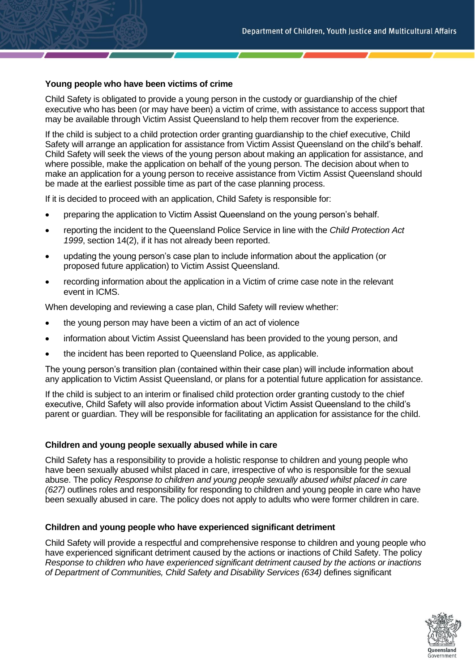## **Young people who have been victims of crime**

Child Safety is obligated to provide a young person in the custody or guardianship of the chief executive who has been (or may have been) a victim of crime, with assistance to access support that may be available through Victim Assist Queensland to help them recover from the experience.

If the child is subject to a child protection order granting guardianship to the chief executive, Child Safety will arrange an application for assistance from Victim Assist Queensland on the child's behalf. Child Safety will seek the views of the young person about making an application for assistance, and where possible, make the application on behalf of the young person. The decision about when to make an application for a young person to receive assistance from Victim Assist Queensland should be made at the earliest possible time as part of the case planning process.

If it is decided to proceed with an application, Child Safety is responsible for:

- preparing the application to Victim Assist Queensland on the young person's behalf.
- reporting the incident to the Queensland Police Service in line with the *Child Protection Act 1999*, [section 14\(2\),](https://www.legislation.qld.gov.au/view/html/inforce/current/act-1999-010#sec.14) if it has not already been reported.
- updating the young person's case plan to include information about the application (or proposed future application) to Victim Assist Queensland.
- recording information about the application in a Victim of crime case note in the relevant event in ICMS.

When developing and reviewing a case plan, Child Safety will review whether:

- the young person may have been a victim of an act of violence
- information about Victim Assist Queensland has been provided to the young person, and
- the incident has been reported to Queensland Police, as applicable.

The young person's transition plan (contained within their case plan) will include information about any application to Victim Assist Queensland, or plans for a potential future application for assistance.

If the child is subject to an interim or finalised child protection order granting custody to the chief executive, Child Safety will also provide information about Victim Assist Queensland to the child's parent or guardian. They will be responsible for facilitating an application for assistance for the child.

#### **Children and young people sexually abused while in care**

Child Safety has a responsibility to provide a holistic response to children and young people who have been sexually abused whilst placed in care, irrespective of who is responsible for the sexual abuse. The policy *Response to children and young people sexually abused whilst placed in care (627)* outlines roles and responsibility for responding to children and young people in care who have been sexually abused in care. The policy does not apply to adults who were former children in care.

#### **Children and young people who have experienced significant detriment**

Child Safety will provide a respectful and comprehensive response to children and young people who have experienced significant detriment caused by the actions or inactions of Child Safety. The policy *Response to children who have experienced significant detriment caused by the actions or inactions of Department of Communities, Child Safety and Disability Services (634)* defines significant

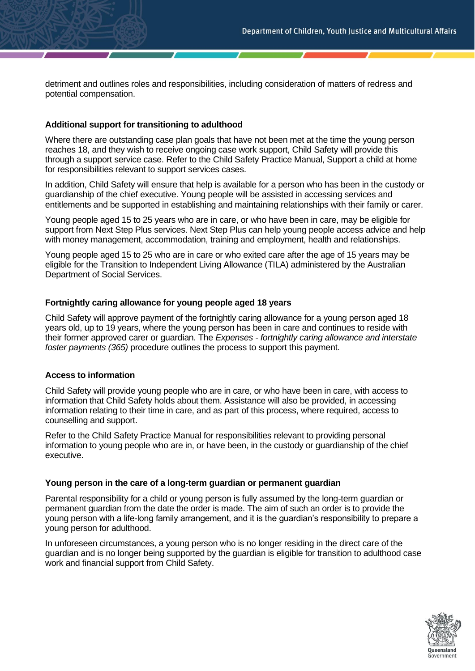detriment and outlines roles and responsibilities, including consideration of matters of redress and potential compensation.

## **Additional support for transitioning to adulthood**

Where there are outstanding case plan goals that have not been met at the time the young person reaches 18, and they wish to receive ongoing case work support, Child Safety will provide this through a support service case. Refer to the Child Safety Practice Manual, Support a child at home for responsibilities relevant to support services cases.

In addition, Child Safety will ensure that help is available for a person who has been in the custody or guardianship of the chief executive. Young people will be assisted in accessing services and entitlements and be supported in establishing and maintaining relationships with their family or carer.

Young people aged 15 to 25 years who are in care, or who have been in care, may be eligible for support from Next Step Plus services. Next Step Plus can help young people access advice and help with money management, accommodation, training and employment, health and relationships.

Young people aged 15 to 25 who are in care or who exited care after the age of 15 years may be eligible for the Transition to Independent Living Allowance (TILA) administered by the Australian Department of Social Services.

#### **Fortnightly caring allowance for young people aged 18 years**

Child Safety will approve payment of the fortnightly caring allowance for a young person aged 18 years old, up to 19 years, where the young person has been in care and continues to reside with their former approved carer or guardian. The *Expenses - fortnightly caring allowance and interstate foster payments (365)* procedure outlines the process to support this payment.

#### **Access to information**

Child Safety will provide young people who are in care, or who have been in care, with access to information that Child Safety holds about them. Assistance will also be provided, in accessing information relating to their time in care, and as part of this process, where required, access to counselling and support.

Refer to the Child Safety Practice Manual for responsibilities relevant to providing personal information to young people who are in, or have been, in the custody or guardianship of the chief executive.

#### **Young person in the care of a long-term guardian or permanent guardian**

Parental responsibility for a child or young person is fully assumed by the long-term guardian or permanent guardian from the date the order is made. The aim of such an order is to provide the young person with a life-long family arrangement, and it is the guardian's responsibility to prepare a young person for adulthood.

In unforeseen circumstances, a young person who is no longer residing in the direct care of the guardian and is no longer being supported by the guardian is eligible for transition to adulthood case work and financial support from Child Safety.

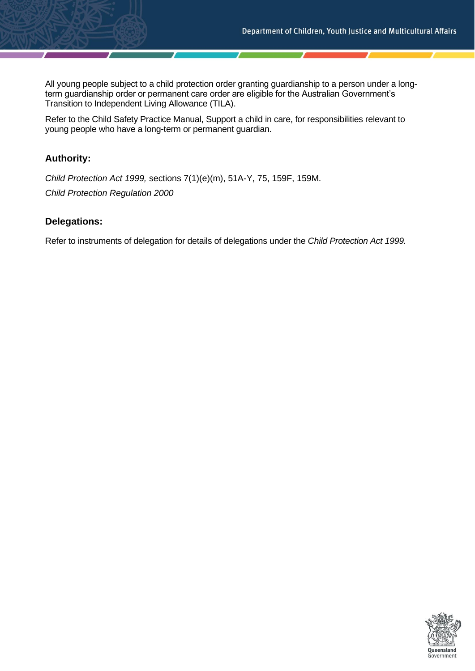All young people subject to a child protection order granting guardianship to a person under a longterm guardianship order or permanent care order are eligible for the Australian Government's Transition to Independent Living Allowance (TILA).

Refer to the Child Safety Practice Manual, Support a child in care, for responsibilities relevant to young people who have a long-term or permanent guardian.

# **Authority:**

*Child Protection Act 1999,* sections 7(1)(e)(m), 51A-Y, 75, 159F, 159M. *Child Protection Regulation 2000*

# **Delegations:**

Refer to instruments of delegation for details of delegations under the *Child Protection Act 1999.*